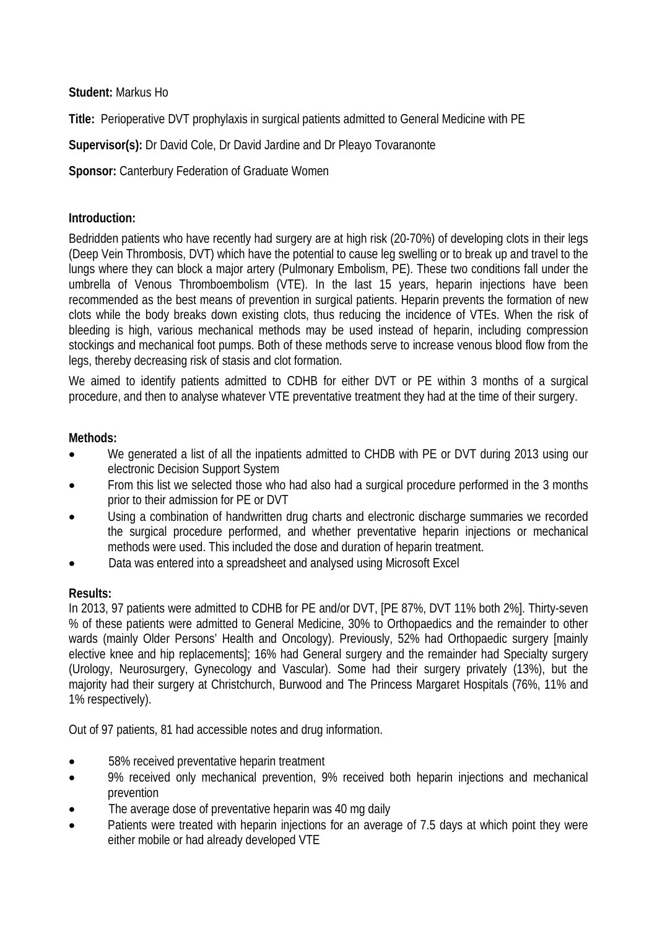### **Student:** Markus Ho

**Title:** Perioperative DVT prophylaxis in surgical patients admitted to General Medicine with PE

# **Supervisor(s):** Dr David Cole, Dr David Jardine and Dr Pleayo Tovaranonte

**Sponsor:** Canterbury Federation of Graduate Women

## **Introduction:**

Bedridden patients who have recently had surgery are at high risk (20-70%) of developing clots in their legs (Deep Vein Thrombosis, DVT) which have the potential to cause leg swelling or to break up and travel to the lungs where they can block a major artery (Pulmonary Embolism, PE). These two conditions fall under the umbrella of Venous Thromboembolism (VTE). In the last 15 years, heparin injections have been recommended as the best means of prevention in surgical patients. Heparin prevents the formation of new clots while the body breaks down existing clots, thus reducing the incidence of VTEs. When the risk of bleeding is high, various mechanical methods may be used instead of heparin, including compression stockings and mechanical foot pumps. Both of these methods serve to increase venous blood flow from the legs, thereby decreasing risk of stasis and clot formation.

We aimed to identify patients admitted to CDHB for either DVT or PE within 3 months of a surgical procedure, and then to analyse whatever VTE preventative treatment they had at the time of their surgery.

### **Methods:**

- We generated a list of all the inpatients admitted to CHDB with PE or DVT during 2013 using our electronic Decision Support System
- From this list we selected those who had also had a surgical procedure performed in the 3 months prior to their admission for PE or DVT
- Using a combination of handwritten drug charts and electronic discharge summaries we recorded the surgical procedure performed, and whether preventative heparin injections or mechanical methods were used. This included the dose and duration of heparin treatment.
- Data was entered into a spreadsheet and analysed using Microsoft Excel

# **Results:**

In 2013, 97 patients were admitted to CDHB for PE and/or DVT, [PE 87%, DVT 11% both 2%]. Thirty-seven % of these patients were admitted to General Medicine, 30% to Orthopaedics and the remainder to other wards (mainly Older Persons' Health and Oncology). Previously, 52% had Orthopaedic surgery [mainly elective knee and hip replacements]; 16% had General surgery and the remainder had Specialty surgery (Urology, Neurosurgery, Gynecology and Vascular). Some had their surgery privately (13%), but the majority had their surgery at Christchurch, Burwood and The Princess Margaret Hospitals (76%, 11% and 1% respectively).

Out of 97 patients, 81 had accessible notes and drug information.

- 58% received preventative heparin treatment
- 9% received only mechanical prevention, 9% received both heparin injections and mechanical prevention
- The average dose of preventative heparin was 40 mg daily
- Patients were treated with heparin injections for an average of 7.5 days at which point they were either mobile or had already developed VTE